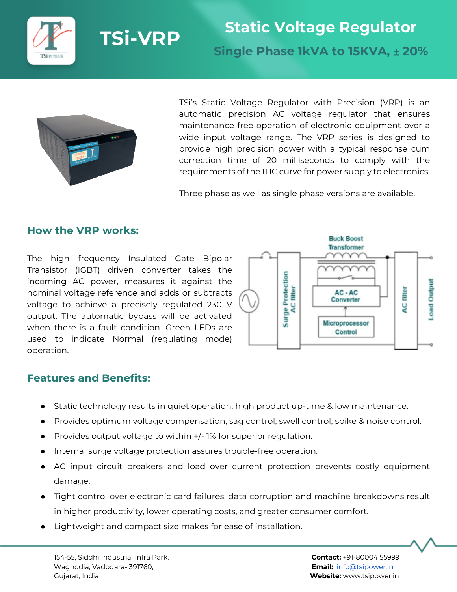

#### **TSi-VRP Static Voltage Regulator Single Phase 1kVA to 15KVA,** ± **20%**



TSi's Static Voltage Regulator with Precision (VRP) is an automatic precision AC voltage regulator that ensures maintenance-free operation of electronic equipment over a wide input voltage range. The VRP series is designed to provide high precision power with a typical response cum correction time of 20 milliseconds to comply with the requirements of the ITIC curve for power supply to electronics.

Three phase as well as single phase versions are available.

#### **How the VRP works:**

The high frequency Insulated Gate Bipolar Transistor (IGBT) driven converter takes the incoming AC power, measures it against the nominal voltage reference and adds or subtracts voltage to achieve a precisely regulated 230 V output. The automatic bypass will be activated when there is a fault condition. Green LEDs are used to indicate Normal (regulating mode) operation.



#### **Features and Benefits:**

- Static technology results in quiet operation, high product up-time & low maintenance.
- Provides optimum voltage compensation, sag control, swell control, spike & noise control.
- $\bullet$  Provides output voltage to within  $+/-$  1% for superior regulation.
- Internal surge voltage protection assures trouble-free operation.
- AC input circuit breakers and load over current protection prevents costly equipment damage.
- Tight control over electronic card failures, data corruption and machine breakdowns result in higher productivity, lower operating costs, and greater consumer comfort.
- Lightweight and compact size makes for ease of installation.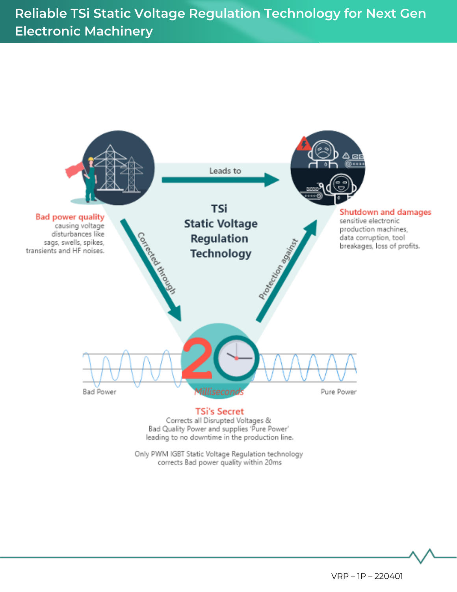**Technical Specifications Reliable TSi Static Voltage Regulation Technology for Next Gen Electronic Machinery**



Only PWM IGBT Static Voltage Regulation technology corrects Bad power quality within 20ms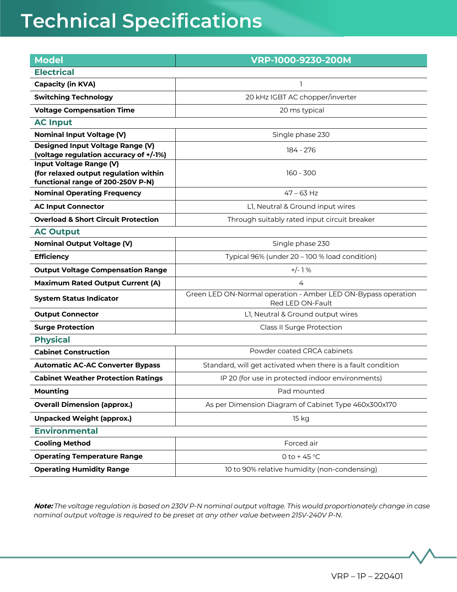| <b>Model</b>                                                      | VRP-1000-9230-200M                                                                |  |
|-------------------------------------------------------------------|-----------------------------------------------------------------------------------|--|
| <b>Electrical</b>                                                 |                                                                                   |  |
| <b>Capacity (in KVA)</b>                                          | ı                                                                                 |  |
| <b>Switching Technology</b>                                       | 20 kHz IGBT AC chopper/inverter                                                   |  |
| <b>Voltage Compensation Time</b>                                  | 20 ms typical                                                                     |  |
| <b>AC Input</b>                                                   |                                                                                   |  |
| <b>Nominal Input Voltage (V)</b>                                  | Single phase 230                                                                  |  |
| Designed Input Voltage Range (V)                                  | 184 - 276                                                                         |  |
| (voltage regulation accuracy of +/-1%)<br>Input Voltage Range (V) |                                                                                   |  |
| (for relaxed output regulation within                             | 160 - 300                                                                         |  |
| functional range of 200-250V P-N)                                 |                                                                                   |  |
| <b>Nominal Operating Frequency</b>                                | $47 - 63$ Hz                                                                      |  |
| <b>AC Input Connector</b>                                         | L1, Neutral & Ground input wires                                                  |  |
| <b>Overload &amp; Short Circuit Protection</b>                    | Through suitably rated input circuit breaker                                      |  |
| <b>AC Output</b>                                                  |                                                                                   |  |
| <b>Nominal Output Voltage (V)</b>                                 | Single phase 230                                                                  |  |
| <b>Efficiency</b>                                                 | Typical 96% (under 20 - 100 % load condition)                                     |  |
| <b>Output Voltage Compensation Range</b>                          | $+/-1%$                                                                           |  |
| <b>Maximum Rated Output Current (A)</b>                           | 4                                                                                 |  |
| <b>System Status Indicator</b>                                    | Green LED ON-Normal operation - Amber LED ON-Bypass operation<br>Red LED ON-Fault |  |
| <b>Output Connector</b>                                           | L1, Neutral & Ground output wires                                                 |  |
| <b>Surge Protection</b>                                           | Class II Surge Protection                                                         |  |
| <b>Physical</b>                                                   |                                                                                   |  |
| <b>Cabinet Construction</b>                                       | Powder coated CRCA cabinets                                                       |  |
| <b>Automatic AC-AC Converter Bypass</b>                           | Standard, will get activated when there is a fault condition                      |  |
| <b>Cabinet Weather Protection Ratings</b>                         | IP 20 (for use in protected indoor environments)                                  |  |
| <b>Mounting</b>                                                   | Pad mounted                                                                       |  |
| <b>Overall Dimension (approx.)</b>                                | As per Dimension Diagram of Cabinet Type 460x300x170                              |  |
| <b>Unpacked Weight (approx.)</b>                                  | 15 kg                                                                             |  |
| <b>Environmental</b>                                              |                                                                                   |  |
| <b>Cooling Method</b>                                             | Forced air                                                                        |  |
| <b>Operating Temperature Range</b>                                | 0 to +45 $^{\circ}$ C                                                             |  |
| <b>Operating Humidity Range</b>                                   | 10 to 90% relative humidity (non-condensing)                                      |  |

**Note:** *The voltage regulation is based on 230V P-N nominal output voltage. This would proportionately change in case nominal output voltage is required to be preset at any other value between 215V-240V P-N.*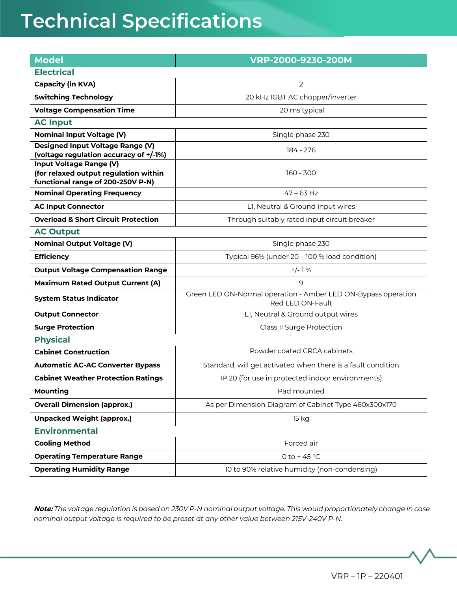| <b>Model</b>                                                      | VRP-2000-9230-200M                                                                |  |
|-------------------------------------------------------------------|-----------------------------------------------------------------------------------|--|
| <b>Electrical</b>                                                 |                                                                                   |  |
| <b>Capacity (in KVA)</b>                                          | 2                                                                                 |  |
| <b>Switching Technology</b>                                       | 20 kHz IGBT AC chopper/inverter                                                   |  |
| <b>Voltage Compensation Time</b>                                  | 20 ms typical                                                                     |  |
| <b>AC Input</b>                                                   |                                                                                   |  |
| <b>Nominal Input Voltage (V)</b>                                  | Single phase 230                                                                  |  |
| Designed Input Voltage Range (V)                                  | 184 - 276                                                                         |  |
| (voltage regulation accuracy of +/-1%)<br>Input Voltage Range (V) |                                                                                   |  |
| (for relaxed output regulation within                             | 160 - 300                                                                         |  |
| functional range of 200-250V P-N)                                 |                                                                                   |  |
| <b>Nominal Operating Frequency</b>                                | $47 - 63$ Hz                                                                      |  |
| <b>AC Input Connector</b>                                         | L1, Neutral & Ground input wires                                                  |  |
| <b>Overload &amp; Short Circuit Protection</b>                    | Through suitably rated input circuit breaker                                      |  |
| <b>AC Output</b>                                                  |                                                                                   |  |
| <b>Nominal Output Voltage (V)</b>                                 | Single phase 230                                                                  |  |
| <b>Efficiency</b>                                                 | Typical 96% (under 20 - 100 % load condition)                                     |  |
| <b>Output Voltage Compensation Range</b>                          | $+/-1%$                                                                           |  |
| <b>Maximum Rated Output Current (A)</b>                           | 9                                                                                 |  |
| <b>System Status Indicator</b>                                    | Green LED ON-Normal operation - Amber LED ON-Bypass operation<br>Red LED ON-Fault |  |
| <b>Output Connector</b>                                           | L1, Neutral & Ground output wires                                                 |  |
| <b>Surge Protection</b>                                           | Class II Surge Protection                                                         |  |
| <b>Physical</b>                                                   |                                                                                   |  |
| <b>Cabinet Construction</b>                                       | Powder coated CRCA cabinets                                                       |  |
| <b>Automatic AC-AC Converter Bypass</b>                           | Standard, will get activated when there is a fault condition                      |  |
| <b>Cabinet Weather Protection Ratings</b>                         | IP 20 (for use in protected indoor environments)                                  |  |
| <b>Mounting</b>                                                   | Pad mounted                                                                       |  |
| <b>Overall Dimension (approx.)</b>                                | As per Dimension Diagram of Cabinet Type 460x300x170                              |  |
| <b>Unpacked Weight (approx.)</b>                                  | 15 kg                                                                             |  |
| <b>Environmental</b>                                              |                                                                                   |  |
| <b>Cooling Method</b>                                             | Forced air                                                                        |  |
| <b>Operating Temperature Range</b>                                | 0 to +45 °C                                                                       |  |
| <b>Operating Humidity Range</b>                                   | 10 to 90% relative humidity (non-condensing)                                      |  |

**Note:** *The voltage regulation is based on 230V P-N nominal output voltage. This would proportionately change in case nominal output voltage is required to be preset at any other value between 215V-240V P-N.*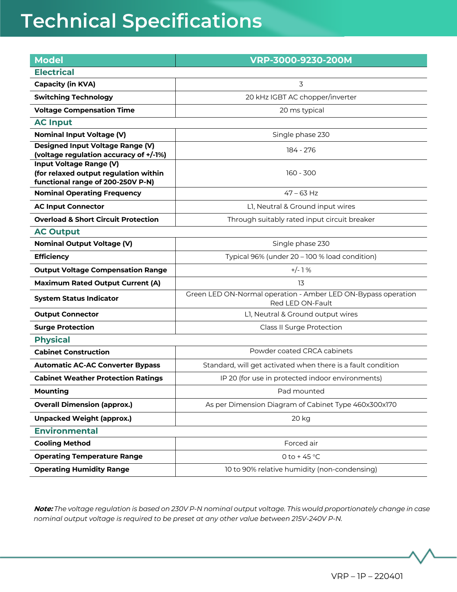| <b>Model</b>                                                      | VRP-3000-9230-200M                                                                |  |
|-------------------------------------------------------------------|-----------------------------------------------------------------------------------|--|
| <b>Electrical</b>                                                 |                                                                                   |  |
| <b>Capacity (in KVA)</b>                                          | 3                                                                                 |  |
| <b>Switching Technology</b>                                       | 20 kHz IGBT AC chopper/inverter                                                   |  |
| <b>Voltage Compensation Time</b>                                  | 20 ms typical                                                                     |  |
| <b>AC Input</b>                                                   |                                                                                   |  |
| <b>Nominal Input Voltage (V)</b>                                  | Single phase 230                                                                  |  |
| Designed Input Voltage Range (V)                                  | 184 - 276                                                                         |  |
| (voltage regulation accuracy of +/-1%)<br>Input Voltage Range (V) |                                                                                   |  |
| (for relaxed output regulation within                             | 160 - 300                                                                         |  |
| functional range of 200-250V P-N)                                 |                                                                                   |  |
| <b>Nominal Operating Frequency</b>                                | $47 - 63$ Hz                                                                      |  |
| <b>AC Input Connector</b>                                         | L1, Neutral & Ground input wires                                                  |  |
| <b>Overload &amp; Short Circuit Protection</b>                    | Through suitably rated input circuit breaker                                      |  |
| <b>AC Output</b>                                                  |                                                                                   |  |
| <b>Nominal Output Voltage (V)</b>                                 | Single phase 230                                                                  |  |
| <b>Efficiency</b>                                                 | Typical 96% (under 20 - 100 % load condition)                                     |  |
| <b>Output Voltage Compensation Range</b>                          | $+/-1%$                                                                           |  |
| <b>Maximum Rated Output Current (A)</b>                           | 13                                                                                |  |
| <b>System Status Indicator</b>                                    | Green LED ON-Normal operation - Amber LED ON-Bypass operation<br>Red LED ON-Fault |  |
| <b>Output Connector</b>                                           | L1, Neutral & Ground output wires                                                 |  |
| <b>Surge Protection</b>                                           | Class II Surge Protection                                                         |  |
| <b>Physical</b>                                                   |                                                                                   |  |
| <b>Cabinet Construction</b>                                       | Powder coated CRCA cabinets                                                       |  |
| <b>Automatic AC-AC Converter Bypass</b>                           | Standard, will get activated when there is a fault condition                      |  |
| <b>Cabinet Weather Protection Ratings</b>                         | IP 20 (for use in protected indoor environments)                                  |  |
| <b>Mounting</b>                                                   | Pad mounted                                                                       |  |
| <b>Overall Dimension (approx.)</b>                                | As per Dimension Diagram of Cabinet Type 460x300x170                              |  |
| <b>Unpacked Weight (approx.)</b>                                  | 20 kg                                                                             |  |
| <b>Environmental</b>                                              |                                                                                   |  |
| <b>Cooling Method</b>                                             | Forced air                                                                        |  |
| <b>Operating Temperature Range</b>                                | 0 to +45 °C                                                                       |  |
| <b>Operating Humidity Range</b>                                   | 10 to 90% relative humidity (non-condensing)                                      |  |

**Note:** *The voltage regulation is based on 230V P-N nominal output voltage. This would proportionately change in case nominal output voltage is required to be preset at any other value between 215V-240V P-N.*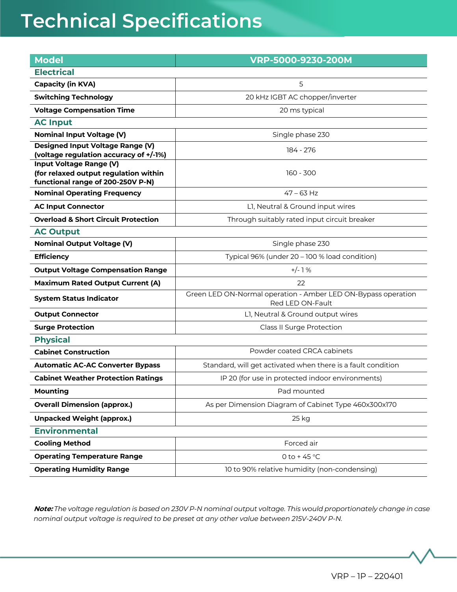| <b>Model</b>                                                               | VRP-5000-9230-200M                                                                |
|----------------------------------------------------------------------------|-----------------------------------------------------------------------------------|
| <b>Electrical</b>                                                          |                                                                                   |
| <b>Capacity (in KVA)</b>                                                   | 5                                                                                 |
| <b>Switching Technology</b>                                                | 20 kHz IGBT AC chopper/inverter                                                   |
| <b>Voltage Compensation Time</b>                                           | 20 ms typical                                                                     |
| <b>AC Input</b>                                                            |                                                                                   |
| <b>Nominal Input Voltage (V)</b>                                           | Single phase 230                                                                  |
| Designed Input Voltage Range (V)<br>(voltage regulation accuracy of +/-1%) | 184 - 276                                                                         |
| Input Voltage Range (V)                                                    |                                                                                   |
| (for relaxed output regulation within                                      | $160 - 300$                                                                       |
| functional range of 200-250V P-N)                                          |                                                                                   |
| <b>Nominal Operating Frequency</b>                                         | $47 - 63$ Hz                                                                      |
| <b>AC Input Connector</b>                                                  | L1, Neutral & Ground input wires                                                  |
| <b>Overload &amp; Short Circuit Protection</b>                             | Through suitably rated input circuit breaker                                      |
| <b>AC Output</b>                                                           |                                                                                   |
| <b>Nominal Output Voltage (V)</b>                                          | Single phase 230                                                                  |
| <b>Efficiency</b>                                                          | Typical 96% (under 20 - 100 % load condition)                                     |
| <b>Output Voltage Compensation Range</b>                                   | $+/-1%$                                                                           |
| <b>Maximum Rated Output Current (A)</b>                                    | 22                                                                                |
| <b>System Status Indicator</b>                                             | Green LED ON-Normal operation - Amber LED ON-Bypass operation<br>Red LED ON-Fault |
| <b>Output Connector</b>                                                    | L1, Neutral & Ground output wires                                                 |
| <b>Surge Protection</b>                                                    | Class II Surge Protection                                                         |
| <b>Physical</b>                                                            |                                                                                   |
| <b>Cabinet Construction</b>                                                | Powder coated CRCA cabinets                                                       |
| <b>Automatic AC-AC Converter Bypass</b>                                    | Standard, will get activated when there is a fault condition                      |
| <b>Cabinet Weather Protection Ratings</b>                                  | IP 20 (for use in protected indoor environments)                                  |
| <b>Mounting</b>                                                            | Pad mounted                                                                       |
| <b>Overall Dimension (approx.)</b>                                         | As per Dimension Diagram of Cabinet Type 460x300x170                              |
| <b>Unpacked Weight (approx.)</b>                                           | 25 kg                                                                             |
| <b>Environmental</b>                                                       |                                                                                   |
| <b>Cooling Method</b>                                                      | Forced air                                                                        |
| <b>Operating Temperature Range</b>                                         | 0 to +45 °C                                                                       |
| <b>Operating Humidity Range</b>                                            | 10 to 90% relative humidity (non-condensing)                                      |

**Note:** *The voltage regulation is based on 230V P-N nominal output voltage. This would proportionately change in case nominal output voltage is required to be preset at any other value between 215V-240V P-N.*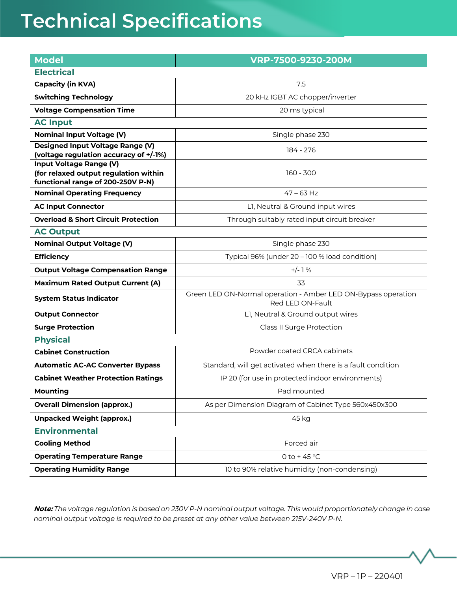| <b>Model</b>                                                                                          | VRP-7500-9230-200M                                                                |
|-------------------------------------------------------------------------------------------------------|-----------------------------------------------------------------------------------|
| <b>Electrical</b>                                                                                     |                                                                                   |
| <b>Capacity (in KVA)</b>                                                                              | 7.5                                                                               |
| <b>Switching Technology</b>                                                                           | 20 kHz IGBT AC chopper/inverter                                                   |
| <b>Voltage Compensation Time</b>                                                                      | 20 ms typical                                                                     |
| <b>AC Input</b>                                                                                       |                                                                                   |
| <b>Nominal Input Voltage (V)</b>                                                                      | Single phase 230                                                                  |
| Designed Input Voltage Range (V)<br>(voltage regulation accuracy of +/-1%)                            | 184 - 276                                                                         |
| Input Voltage Range (V)<br>(for relaxed output regulation within<br>functional range of 200-250V P-N) | $160 - 300$                                                                       |
| <b>Nominal Operating Frequency</b>                                                                    | $47 - 63$ Hz                                                                      |
| <b>AC Input Connector</b>                                                                             | L1, Neutral & Ground input wires                                                  |
| <b>Overload &amp; Short Circuit Protection</b>                                                        | Through suitably rated input circuit breaker                                      |
| <b>AC Output</b>                                                                                      |                                                                                   |
| <b>Nominal Output Voltage (V)</b>                                                                     | Single phase 230                                                                  |
| <b>Efficiency</b>                                                                                     | Typical 96% (under 20 - 100 % load condition)                                     |
| <b>Output Voltage Compensation Range</b>                                                              | $+/-1%$                                                                           |
| <b>Maximum Rated Output Current (A)</b>                                                               | 33                                                                                |
| <b>System Status Indicator</b>                                                                        | Green LED ON-Normal operation - Amber LED ON-Bypass operation<br>Red LED ON-Fault |
| <b>Output Connector</b>                                                                               | L1, Neutral & Ground output wires                                                 |
| <b>Surge Protection</b>                                                                               | Class II Surge Protection                                                         |
| <b>Physical</b>                                                                                       |                                                                                   |
| <b>Cabinet Construction</b>                                                                           | Powder coated CRCA cabinets                                                       |
| <b>Automatic AC-AC Converter Bypass</b>                                                               | Standard, will get activated when there is a fault condition                      |
| <b>Cabinet Weather Protection Ratings</b>                                                             | IP 20 (for use in protected indoor environments)                                  |
| <b>Mounting</b>                                                                                       | Pad mounted                                                                       |
| <b>Overall Dimension (approx.)</b>                                                                    | As per Dimension Diagram of Cabinet Type 560x450x300                              |
| <b>Unpacked Weight (approx.)</b>                                                                      | 45 kg                                                                             |
| <b>Environmental</b>                                                                                  |                                                                                   |
| <b>Cooling Method</b>                                                                                 | Forced air                                                                        |
| <b>Operating Temperature Range</b>                                                                    | 0 to +45 °C                                                                       |
| <b>Operating Humidity Range</b>                                                                       | 10 to 90% relative humidity (non-condensing)                                      |

**Note:** *The voltage regulation is based on 230V P-N nominal output voltage. This would proportionately change in case nominal output voltage is required to be preset at any other value between 215V-240V P-N.*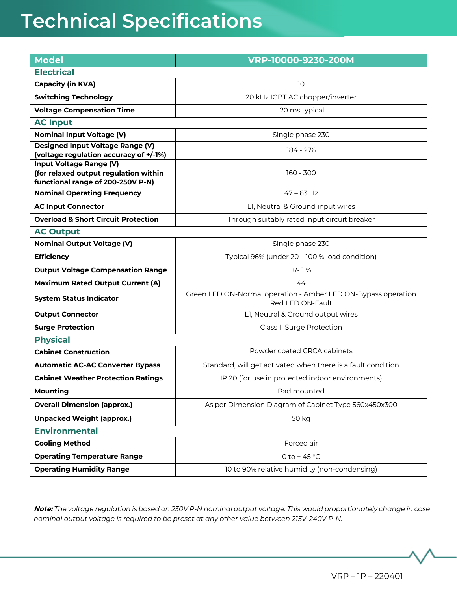| <b>Model</b>                                                                                          | VRP-10000-9230-200M                                                               |
|-------------------------------------------------------------------------------------------------------|-----------------------------------------------------------------------------------|
| <b>Electrical</b>                                                                                     |                                                                                   |
| <b>Capacity (in KVA)</b>                                                                              | 10                                                                                |
| <b>Switching Technology</b>                                                                           | 20 kHz IGBT AC chopper/inverter                                                   |
| <b>Voltage Compensation Time</b>                                                                      | 20 ms typical                                                                     |
| <b>AC Input</b>                                                                                       |                                                                                   |
| <b>Nominal Input Voltage (V)</b>                                                                      | Single phase 230                                                                  |
| Designed Input Voltage Range (V)<br>(voltage regulation accuracy of +/-1%)                            | 184 - 276                                                                         |
| Input Voltage Range (V)<br>(for relaxed output regulation within<br>functional range of 200-250V P-N) | $160 - 300$                                                                       |
| <b>Nominal Operating Frequency</b>                                                                    | $47 - 63$ Hz                                                                      |
| <b>AC Input Connector</b>                                                                             | L1, Neutral & Ground input wires                                                  |
| <b>Overload &amp; Short Circuit Protection</b>                                                        | Through suitably rated input circuit breaker                                      |
| <b>AC Output</b>                                                                                      |                                                                                   |
| <b>Nominal Output Voltage (V)</b>                                                                     | Single phase 230                                                                  |
| <b>Efficiency</b>                                                                                     | Typical 96% (under 20 - 100 % load condition)                                     |
| <b>Output Voltage Compensation Range</b>                                                              | $+/- 1%$                                                                          |
| <b>Maximum Rated Output Current (A)</b>                                                               | 44                                                                                |
| <b>System Status Indicator</b>                                                                        | Green LED ON-Normal operation - Amber LED ON-Bypass operation<br>Red LED ON-Fault |
| <b>Output Connector</b>                                                                               | L1, Neutral & Ground output wires                                                 |
| <b>Surge Protection</b>                                                                               | Class II Surge Protection                                                         |
| <b>Physical</b>                                                                                       |                                                                                   |
| <b>Cabinet Construction</b>                                                                           | Powder coated CRCA cabinets                                                       |
| <b>Automatic AC-AC Converter Bypass</b>                                                               | Standard, will get activated when there is a fault condition                      |
| <b>Cabinet Weather Protection Ratings</b>                                                             | IP 20 (for use in protected indoor environments)                                  |
| <b>Mounting</b>                                                                                       | Pad mounted                                                                       |
| <b>Overall Dimension (approx.)</b>                                                                    | As per Dimension Diagram of Cabinet Type 560x450x300                              |
| <b>Unpacked Weight (approx.)</b>                                                                      | 50 kg                                                                             |
| <b>Environmental</b>                                                                                  |                                                                                   |
| <b>Cooling Method</b>                                                                                 | Forced air                                                                        |
| <b>Operating Temperature Range</b>                                                                    | 0 to +45 $\degree$ C                                                              |
| <b>Operating Humidity Range</b>                                                                       | 10 to 90% relative humidity (non-condensing)                                      |

**Note:** *The voltage regulation is based on 230V P-N nominal output voltage. This would proportionately change in case nominal output voltage is required to be preset at any other value between 215V-240V P-N.*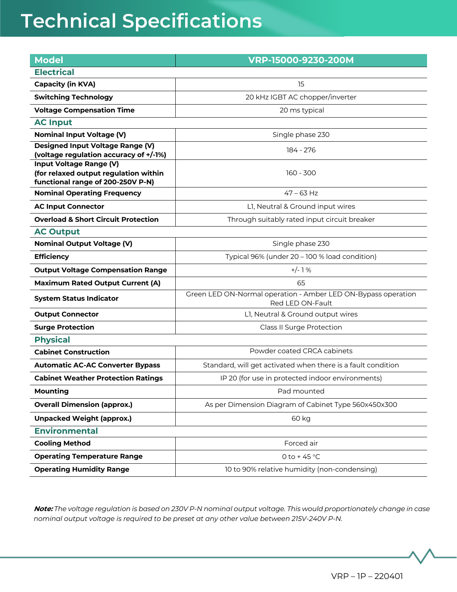| <b>Model</b>                                                               | VRP-15000-9230-200M                                                               |  |
|----------------------------------------------------------------------------|-----------------------------------------------------------------------------------|--|
| <b>Electrical</b>                                                          |                                                                                   |  |
| <b>Capacity (in KVA)</b>                                                   | 15                                                                                |  |
| <b>Switching Technology</b>                                                | 20 kHz IGBT AC chopper/inverter                                                   |  |
| <b>Voltage Compensation Time</b>                                           | 20 ms typical                                                                     |  |
| <b>AC Input</b>                                                            |                                                                                   |  |
| <b>Nominal Input Voltage (V)</b>                                           | Single phase 230                                                                  |  |
| Designed Input Voltage Range (V)<br>(voltage regulation accuracy of +/-1%) | 184 - 276                                                                         |  |
| Input Voltage Range (V)                                                    |                                                                                   |  |
| (for relaxed output regulation within<br>functional range of 200-250V P-N) | $160 - 300$                                                                       |  |
| <b>Nominal Operating Frequency</b>                                         | $47 - 63$ Hz                                                                      |  |
| <b>AC Input Connector</b>                                                  | L1, Neutral & Ground input wires                                                  |  |
| <b>Overload &amp; Short Circuit Protection</b>                             | Through suitably rated input circuit breaker                                      |  |
| <b>AC Output</b>                                                           |                                                                                   |  |
| <b>Nominal Output Voltage (V)</b>                                          | Single phase 230                                                                  |  |
| <b>Efficiency</b>                                                          | Typical 96% (under 20 - 100 % load condition)                                     |  |
| <b>Output Voltage Compensation Range</b>                                   | $+/-1%$                                                                           |  |
| <b>Maximum Rated Output Current (A)</b>                                    | 65                                                                                |  |
| <b>System Status Indicator</b>                                             | Green LED ON-Normal operation - Amber LED ON-Bypass operation<br>Red LED ON-Fault |  |
| <b>Output Connector</b>                                                    | L1, Neutral & Ground output wires                                                 |  |
| <b>Surge Protection</b>                                                    | Class II Surge Protection                                                         |  |
| <b>Physical</b>                                                            |                                                                                   |  |
| <b>Cabinet Construction</b>                                                | Powder coated CRCA cabinets                                                       |  |
| <b>Automatic AC-AC Converter Bypass</b>                                    | Standard, will get activated when there is a fault condition                      |  |
| <b>Cabinet Weather Protection Ratings</b>                                  | IP 20 (for use in protected indoor environments)                                  |  |
| <b>Mounting</b>                                                            | Pad mounted                                                                       |  |
| <b>Overall Dimension (approx.)</b>                                         | As per Dimension Diagram of Cabinet Type 560x450x300                              |  |
| <b>Unpacked Weight (approx.)</b>                                           | 60 kg                                                                             |  |
| <b>Environmental</b>                                                       |                                                                                   |  |
| <b>Cooling Method</b>                                                      | Forced air                                                                        |  |
| <b>Operating Temperature Range</b>                                         | 0 to +45 $\degree$ C                                                              |  |
| <b>Operating Humidity Range</b>                                            | 10 to 90% relative humidity (non-condensing)                                      |  |

**Note:** *The voltage regulation is based on 230V P-N nominal output voltage. This would proportionately change in case nominal output voltage is required to be preset at any other value between 215V-240V P-N.*